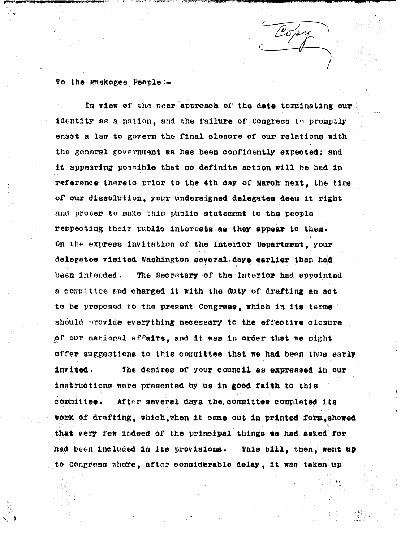To the Muskogee People:

**In view** of the near approach of the date terminating our identity as a nation, and the failure of Congress to promptly enact a law to govern the final closure of our relations with the general government as has been confidently expected; and it appearing poacible that **no definite action trill** *he had in* reference thereto prior to the 4th day of March- next, the time of our d.issolutt-ion, your undersigned **delegates** deem it right and proper to make this public statement to the people respecting their public interests as they appear to them. On the express **invitation** of **the Interior** Department, your delegates **visited** Washington severaL days **earlier** than had been intended. The Secretary of the Interior had appointed a committee and charged it with the duty of drafting an act to be proposed to the present Congress, which in **its** terms' should. provide everything **necessary to the effeotive closure** of our national affairs, and it was in order that we might *offer suggestions to this coirmittee that we had been thus early invited. The desires of your council as expressed in our instructions were presented by us in good faith to this* committee. After several days the committee completed its *work* of drafting, whieh,when it *came out in printed form,showed that very* few indeed or the **principal** things we had asked for had been included **in its** provisions. This bill, then, went up to Congress where, after considerable delay, it was taken up

Copy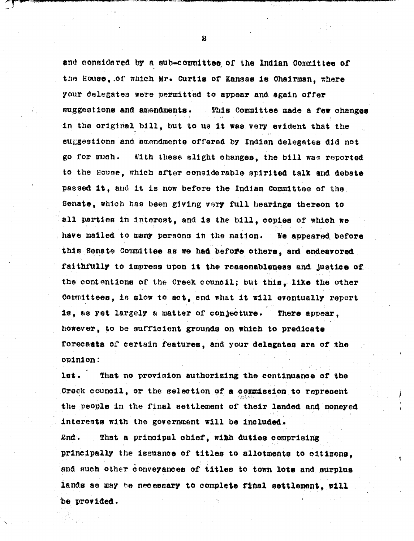**and considered by a nub-committee, or the Indian aomnr.it-tee of** the House, of which Mr. Curtis of Kansas is Chairman, where your delegates were permitted to appear and again offer suggestions and amendments. This Committee made a few changes in the original bill, but to **us it was very evident** that the suggestions and amendments offered by Indian delegates did not go for much. With these alight changes, the bill was reported to the House, which after considerable spirited talk and debate passed it, and it is now before the Indian Committee of the Senate, which has been giving very full *hearings* thereon to all parties In interest, and is the bill, copies of **which** we have mailed to many persons in the nation. We **appeared before** this Senate Committee as we had before others, and **endeavored** faithfully to impress upon **it the** reasonableness and justice of the contentions of the Creek council; but **tbis, like** the other committees, in slow to **set,** end what **it will eventually report** is, as yet largely a matter of conjecture. There appear, however, to be sufficient grounds on which to predicate foreca**\*te** of certain features, and your **delegates are of the** *opinion:*

**1st. That no provision authorizing the continuance** of the Creek council, or the selection of a commission to represent the people in the final settlement of their landed and moneyed Interests with the government will be **included.** *2nd. That a principal chief, with duties comprising* principally the issuance of titles to allotments to citizens, *and such other conveyances of titles to town lots and surplus lands as may he nee essary to complete €ifial settlement, will 'be provided.*

**a**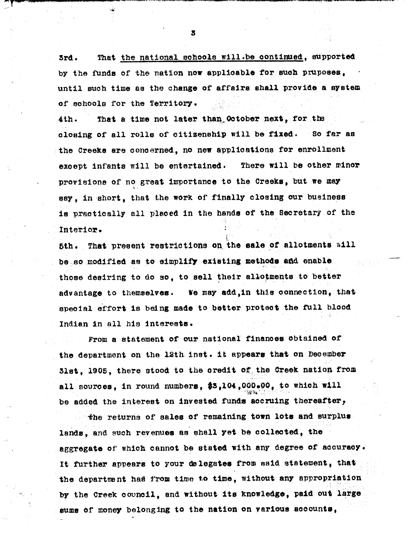*3rd. That the national schools will.be oontinued, supported by the funds of the nation now applicable for such pruposes, . until such time* as *the change of affairs shall. provide* a *system of schools for the Territory.*

*4th. That a time not later than, Ootober neat, for .t2.* closing *of all rolls of citizenship will be fixed. So far as the Creeks are concerned, no new applications for enrollment except infants will be entertained. There will be other minor provisions of no great importance to the Creeks, but we may say, in short, that the work of finally closing our business is practically all placed in the hands of the Secretar y of the Interior.*

*5th. That present restrictions on the sale of allotments* **Aill** *be ..so .modified as to simplify existing methods add enable those desiring to do so, to sell their allotments to better advantage to themselves. we may add,in this* **connection, that special** effort **is being** made to better protect the full blood *Indian In all his Interests.*

From a statement of our national finances obtained *of* the department on the **lath.inst. it** appears that on December 31st, 1905, there stood to the credit of, the Creek nation from **all** sources, in round numbers, \$3,104,000.00, to which will be added the interest on **invested funds** accruing thereafter,

-the returns of **sales** of **remaining town lots and surplus** *lands, and* such revenues as shall yet be **collected, the** aggregate of which cannot be stated with any degree of **accuracy. It** further appears to your de legates from said statement, that *the departna nt had from time to time, without any appropriation* by the Creek council, and without its knowledge, **paid out large** sums of money belonging to the nation on various accounts,

*3*